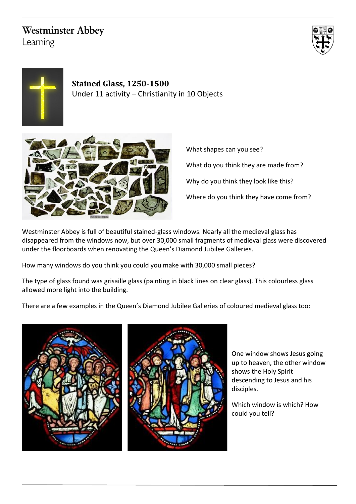## **Westminster Abbey**

Learning





**Stained Glass, 1250-1500** Under 11 activity – Christianity in 10 Objects



What shapes can you see? What do you think they are made from? Why do you think they look like this? Where do you think they have come from?

Westminster Abbey is full of beautiful stained-glass windows. Nearly all the medieval glass has disappeared from the windows now, but over 30,000 small fragments of medieval glass were discovered under the floorboards when renovating the Queen's Diamond Jubilee Galleries.

How many windows do you think you could you make with 30,000 small pieces?

The type of glass found was grisaille glass (painting in black lines on clear glass). This colourless glass allowed more light into the building.

There are a few examples in the Queen's Diamond Jubilee Galleries of coloured medieval glass too:





One window shows Jesus going up to heaven, the other window shows the Holy Spirit descending to Jesus and his disciples.

Which window is which? How could you tell?